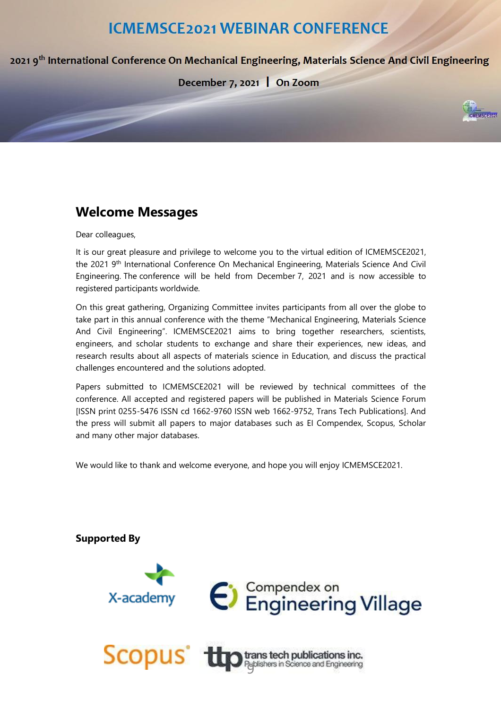# **ICMEMSCE2021 WEBINAR CONFERENCE**

2021 9<sup>th</sup> International Conference On Mechanical Engineering, Materials Science And Civil Engineering

# December 7, 2021 | On Zoom

# **Welcome Messages**

#### Dear colleagues,

It is our great pleasure and privilege to welcome you to the virtual edition of ICMEMSCE2021, the 2021 9<sup>th</sup> International Conference On Mechanical Engineering, Materials Science And Civil Engineering. The conference will be held from December 7, 2021 and is now accessible to registered participants worldwide.

On this great gathering, Organizing Committee invites participants from all over the globe to take part in this annual conference with the theme "Mechanical Engineering, Materials Science And Civil Engineering". ICMEMSCE2021 aims to bring together researchers, scientists, engineers, and scholar students to exchange and share their experiences, new ideas, and research results about all aspects of materials science in Education, and discuss the practical challenges encountered and the solutions adopted.

Papers submitted to ICMEMSCE2021 will be reviewed by technical committees of the conference. All accepted and registered papers will be published in Materials Science Forum [ISSN print 0255-5476 ISSN cd 1662-9760 ISSN web 1662-9752, Trans Tech Publications]. And the press will submit all papers to major databases such as EI Compendex, Scopus, Scholar and many other major databases.

We would like to thank and welcome everyone, and hope you will enjoy ICMEMSCE2021.

# **Supported By**

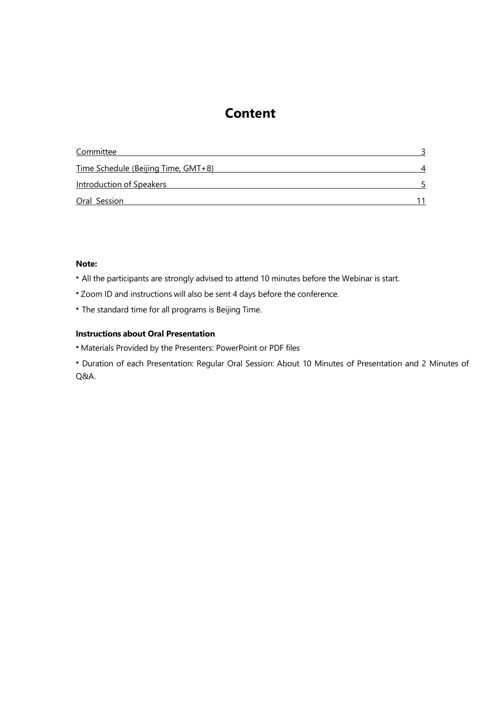# **Content**

| Committee                                  |  |
|--------------------------------------------|--|
| <u>Time Schedule (Beijing Time, GMT+8)</u> |  |
| <b>Introduction of Speakers</b>            |  |
| Oral Session                               |  |

# **Note:**

- **·**All the participants are strongly advised to attend 10 minutes before the Webinar is start.
- **·**Zoom ID and instructions will also be sent 4 days before the conference.
- **·**The standard time for all programs is Beijing Time.

## **Instructions about Oral Presentation**

- **·**Materials Provided by the Presenters: PowerPoint or PDF files
- <span id="page-1-0"></span>**·**Duration of each Presentation: Regular Oral Session: About 10 Minutes of Presentation and 2 Minutes of Q&A.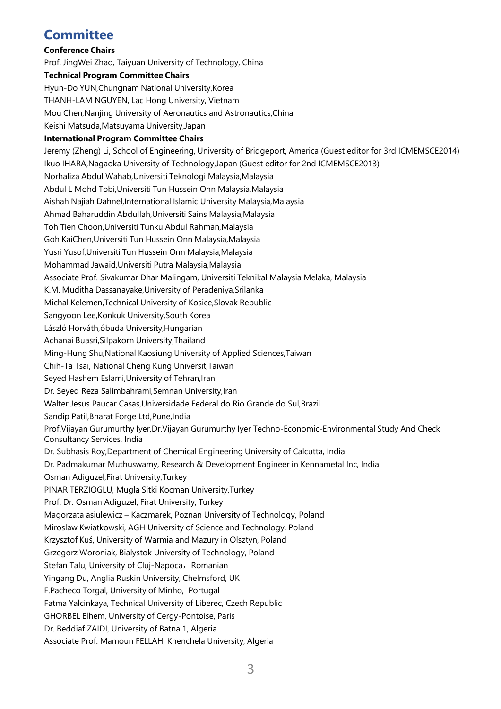# **Committee**

# **Conference Chairs**

Prof. JingWei Zhao, Taiyuan University of Technology, China

# **Technical Program Committee Chairs**

Hyun-Do YUN,Chungnam National University,Korea

THANH-LAM NGUYEN, Lac Hong University, Vietnam

Mou Chen,Nanjing University of Aeronautics and Astronautics,China

Keishi Matsuda,Matsuyama University,Japan

# **International Program Committee Chairs**

<span id="page-2-0"></span>Jeremy (Zheng) Li, School of Engineering, University of Bridgeport, America (Guest editor for 3rd ICMEMSCE2014) Ikuo IHARA,Nagaoka University of Technology,Japan (Guest editor for 2nd ICMEMSCE2013) Norhaliza Abdul Wahab,Universiti Teknologi Malaysia,Malaysia Abdul L Mohd Tobi,Universiti Tun Hussein Onn Malaysia,Malaysia Aishah Najiah Dahnel,International Islamic University Malaysia,Malaysia Ahmad Baharuddin Abdullah,Universiti Sains Malaysia,Malaysia Toh Tien Choon,Universiti Tunku Abdul Rahman,Malaysia Goh KaiChen,Universiti Tun Hussein Onn Malaysia,Malaysia Yusri Yusof,Universiti Tun Hussein Onn Malaysia,Malaysia Mohammad Jawaid,Universiti Putra Malaysia,Malaysia Associate Prof. Sivakumar Dhar Malingam, Universiti Teknikal Malaysia Melaka, Malaysia K.M. Muditha Dassanayake,University of Peradeniya,Srilanka Michal Kelemen,Technical University of Kosice,Slovak Republic Sangyoon Lee,Konkuk University,South Korea László Horváth,óbuda University,Hungarian Achanai Buasri,Silpakorn University,Thailand Ming-Hung Shu,National Kaosiung University of Applied Sciences,Taiwan Chih-Ta Tsai, National Cheng Kung Universit,Taiwan Seyed Hashem Eslami,University of Tehran,Iran Dr. Seyed Reza Salimbahrami,Semnan University,Iran Walter Jesus Paucar Casas,Universidade Federal do Rio Grande do Sul,Brazil Sandip Patil,Bharat Forge Ltd,Pune,India Prof.Vijayan Gurumurthy Iyer,Dr.Vijayan Gurumurthy Iyer Techno-Economic-Environmental Study And Check Consultancy Services, India Dr. Subhasis Roy,Department of Chemical Engineering University of Calcutta, India Dr. Padmakumar Muthuswamy, Research & Development Engineer in Kennametal Inc, India Osman Adiguzel,Firat University,Turkey PINAR TERZIOGLU, Mugla Sitki Kocman University,Turkey Prof. Dr. Osman Adiguzel, Firat University, Turkey Magorzata asiulewicz – Kaczmarek, Poznan University of Technology, Poland Miroslaw Kwiatkowski, AGH University of Science and Technology, Poland Krzysztof Kuś, University of Warmia and Mazury in Olsztyn, Poland Grzegorz Woroniak, Bialystok University of Technology, Poland Stefan Talu, University of Cluj-Napoca, Romanian Yingang Du, Anglia Ruskin University, Chelmsford, UK F.Pacheco Torgal, University of Minho, Portugal Fatma Yalcinkaya, Technical University of Liberec, Czech Republic GHORBEL Elhem, University of Cergy-Pontoise, Paris Dr. Beddiaf ZAIDI, University of Batna 1, Algeria Associate Prof. Mamoun FELLAH, Khenchela University, Algeria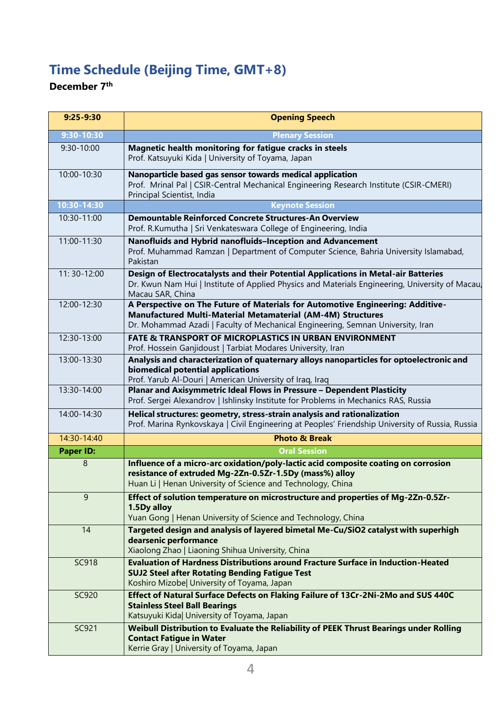# **Time Schedule (Beijing Time, GMT+8)**

# **December 7 th**

| $9:25 - 9:30$    | <b>Opening Speech</b>                                                                                                                                                                                                            |
|------------------|----------------------------------------------------------------------------------------------------------------------------------------------------------------------------------------------------------------------------------|
| 9:30-10:30       | <b>Plenary Session</b>                                                                                                                                                                                                           |
| 9:30-10:00       | Magnetic health monitoring for fatigue cracks in steels<br>Prof. Katsuyuki Kida   University of Toyama, Japan                                                                                                                    |
| 10:00-10:30      | Nanoparticle based gas sensor towards medical application<br>Prof. Mrinal Pal   CSIR-Central Mechanical Engineering Research Institute (CSIR-CMERI)<br>Principal Scientist, India                                                |
| 10:30-14:30      | <b>Keynote Session</b>                                                                                                                                                                                                           |
| 10:30-11:00      | Demountable Reinforced Concrete Structures-An Overview<br>Prof. R.Kumutha   Sri Venkateswara College of Engineering, India                                                                                                       |
| 11:00-11:30      | Nanofluids and Hybrid nanofluids-Inception and Advancement<br>Prof. Muhammad Ramzan   Department of Computer Science, Bahria University Islamabad,<br>Pakistan                                                                   |
| 11: 30-12:00     | Design of Electrocatalysts and their Potential Applications in Metal-air Batteries<br>Dr. Kwun Nam Hui   Institute of Applied Physics and Materials Engineering, University of Macau,<br>Macau SAR, China                        |
| 12:00-12:30      | A Perspective on The Future of Materials for Automotive Engineering: Additive-<br>Manufactured Multi-Material Metamaterial (AM-4M) Structures<br>Dr. Mohammad Azadi   Faculty of Mechanical Engineering, Semnan University, Iran |
| 12:30-13:00      | <b>FATE &amp; TRANSPORT OF MICROPLASTICS IN URBAN ENVIRONMENT</b><br>Prof. Hossein Ganjidoust   Tarbiat Modares University, Iran                                                                                                 |
| 13:00-13:30      | Analysis and characterization of quaternary alloys nanoparticles for optoelectronic and<br>biomedical potential applications<br>Prof. Yarub Al-Douri   American University of Iraq, Iraq                                         |
| 13:30-14:00      | Planar and Axisymmetric Ideal Flows in Pressure - Dependent Plasticity<br>Prof. Sergei Alexandrov   Ishlinsky Institute for Problems in Mechanics RAS, Russia                                                                    |
| 14:00-14:30      | Helical structures: geometry, stress-strain analysis and rationalization<br>Prof. Marina Rynkovskaya   Civil Engineering at Peoples' Friendship University of Russia, Russia                                                     |
| 14:30-14:40      | <b>Photo &amp; Break</b>                                                                                                                                                                                                         |
| <b>Paper ID:</b> | <b>Oral Session</b>                                                                                                                                                                                                              |
| 8                | Influence of a micro-arc oxidation/poly-lactic acid composite coating on corrosion<br>resistance of extruded Mg-2Zn-0.5Zr-1.5Dy (mass%) alloy<br>Huan Li   Henan University of Science and Technology, China                     |
| 9                | Effect of solution temperature on microstructure and properties of Mg-2Zn-0.5Zr-<br>1.5Dy alloy<br>Yuan Gong   Henan University of Science and Technology, China                                                                 |
| 14               | Targeted design and analysis of layered bimetal Me-Cu/SiO2 catalyst with superhigh<br>dearsenic performance<br>Xiaolong Zhao   Liaoning Shihua University, China                                                                 |
| <b>SC918</b>     | Evaluation of Hardness Distributions around Fracture Surface in Induction-Heated<br><b>SUJ2 Steel after Rotating Bending Fatigue Test</b><br>Koshiro Mizobel University of Toyama, Japan                                         |
| SC920            | Effect of Natural Surface Defects on Flaking Failure of 13Cr-2Ni-2Mo and SUS 440C<br><b>Stainless Steel Ball Bearings</b><br>Katsuyuki Kida  University of Toyama, Japan                                                         |
| SC921            | Weibull Distribution to Evaluate the Reliability of PEEK Thrust Bearings under Rolling<br><b>Contact Fatigue in Water</b><br>Kerrie Gray   University of Toyama, Japan                                                           |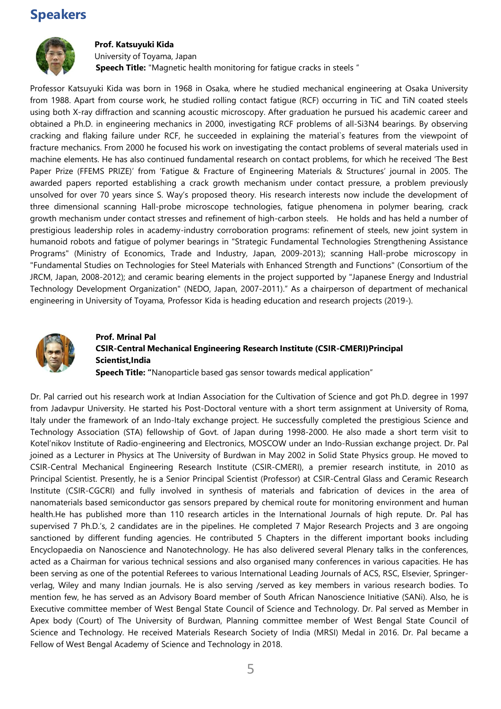# **Speakers**



## **Prof. Katsuyuki Kida**

University of Toyama, Japan **Speech Title:** "Magnetic health monitoring for fatigue cracks in steels "

Professor Katsuyuki Kida was born in 1968 in Osaka, where he studied mechanical engineering at Osaka University from 1988. Apart from course work, he studied rolling contact fatigue (RCF) occurring in TiC and TiN coated steels using both X-ray diffraction and scanning acoustic microscopy. After graduation he pursued his academic career and obtained a Ph.D. in engineering mechanics in 2000, investigating RCF problems of all-Si3N4 bearings. By observing cracking and flaking failure under RCF, he succeeded in explaining the material`s features from the viewpoint of fracture mechanics. From 2000 he focused his work on investigating the contact problems of several materials used in machine elements. He has also continued fundamental research on contact problems, for which he received 'The Best Paper Prize (FFEMS PRIZE)' from 'Fatigue & Fracture of Engineering Materials & Structures' journal in 2005. The awarded papers reported establishing a crack growth mechanism under contact pressure, a problem previously unsolved for over 70 years since S. Way's proposed theory. His research interests now include the development of three dimensional scanning Hall-probe microscope technologies, fatigue phenomena in polymer bearing, crack growth mechanism under contact stresses and refinement of high-carbon steels. He holds and has held a number of prestigious leadership roles in academy-industry corroboration programs: refinement of steels, new joint system in humanoid robots and fatigue of polymer bearings in "Strategic Fundamental Technologies Strengthening Assistance Programs" (Ministry of Economics, Trade and Industry, Japan, 2009-2013); scanning Hall-probe microscopy in "Fundamental Studies on Technologies for Steel Materials with Enhanced Strength and Functions" (Consortium of the JRCM, Japan, 2008-2012); and ceramic bearing elements in the project supported by "Japanese Energy and Industrial Technology Development Organization" (NEDO, Japan, 2007-2011)." As a chairperson of department of mechanical engineering in University of Toyama, Professor Kida is heading education and research projects (2019-).



# **Prof. Mrinal Pal CSIR-Central Mechanical Engineering Research Institute (CSIR-CMERI)Principal Scientist,India Speech Title: "**Nanoparticle based gas sensor towards medical application"

Dr. Pal carried out his research work at Indian Association for the Cultivation of Science and got Ph.D. degree in 1997 from Jadavpur University. He started his Post-Doctoral venture with a short term assignment at University of Roma, Italy under the framework of an Indo-Italy exchange project. He successfully completed the prestigious Science and Technology Association (STA) fellowship of Govt. of Japan during 1998-2000. He also made a short term visit to Kotel'nikov Institute of Radio-engineering and Electronics, MOSCOW under an Indo-Russian exchange project. Dr. Pal joined as a Lecturer in Physics at The University of Burdwan in May 2002 in Solid State Physics group. He moved to CSIR-Central Mechanical Engineering Research Institute (CSIR-CMERI), a premier research institute, in 2010 as Principal Scientist. Presently, he is a Senior Principal Scientist (Professor) at CSIR-Central Glass and Ceramic Research Institute (CSIR-CGCRI) and fully involved in synthesis of materials and fabrication of devices in the area of nanomaterials based semiconductor gas sensors prepared by chemical route for monitoring environment and human health.He has published more than 110 research articles in the International Journals of high repute. Dr. Pal has supervised 7 Ph.D.'s, 2 candidates are in the pipelines. He completed 7 Major Research Projects and 3 are ongoing sanctioned by different funding agencies. He contributed 5 Chapters in the different important books including Encyclopaedia on Nanoscience and Nanotechnology. He has also delivered several Plenary talks in the conferences, acted as a Chairman for various technical sessions and also organised many conferences in various capacities. He has been serving as one of the potential Referees to various International Leading Journals of ACS, RSC, Elsevier, Springerverlag, Wiley and many Indian journals. He is also serving /served as key members in various research bodies. To mention few, he has served as an Advisory Board member of South African Nanoscience Initiative (SANi). Also, he is Executive committee member of West Bengal State Council of Science and Technology. Dr. Pal served as Member in Apex body (Court) of The University of Burdwan, Planning committee member of West Bengal State Council of Science and Technology. He received Materials Research Society of India (MRSI) Medal in 2016. Dr. Pal became a Fellow of West Bengal Academy of Science and Technology in 2018.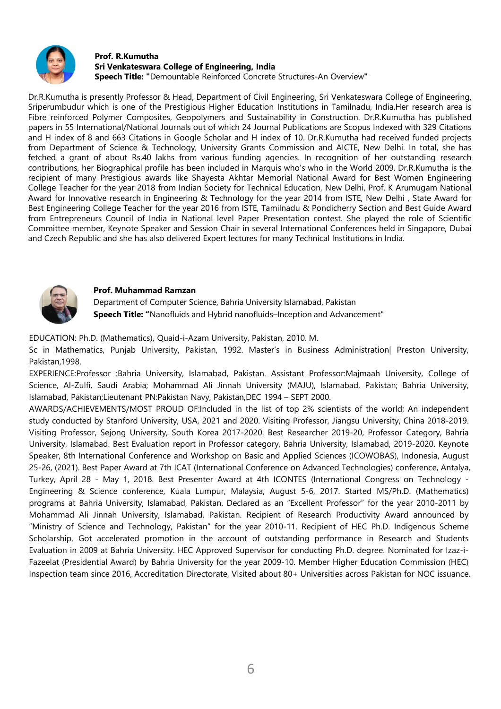

#### **Prof. R.Kumutha Sri Venkateswara College of Engineering, India Speech Title: "**Demountable Reinforced Concrete Structures-An Overview**"**

Dr.R.Kumutha is presently Professor & Head, Department of Civil Engineering, Sri Venkateswara College of Engineering, Sriperumbudur which is one of the Prestigious Higher Education Institutions in Tamilnadu, India.Her research area is Fibre reinforced Polymer Composites, Geopolymers and Sustainability in Construction. Dr.R.Kumutha has published papers in 55 International/National Journals out of which 24 Journal Publications are Scopus Indexed with 329 Citations and H index of 8 and 663 Citations in Google Scholar and H index of 10. Dr.R.Kumutha had received funded projects from Department of Science & Technology, University Grants Commission and AICTE, New Delhi. In total, she has fetched a grant of about Rs.40 lakhs from various funding agencies. In recognition of her outstanding research contributions, her Biographical profile has been included in Marquis who's who in the World 2009. Dr.R.Kumutha is the recipient of many Prestigious awards like Shayesta Akhtar Memorial National Award for Best Women Engineering College Teacher for the year 2018 from Indian Society for Technical Education, New Delhi, Prof. K Arumugam National Award for Innovative research in Engineering & Technology for the year 2014 from ISTE, New Delhi , State Award for Best Engineering College Teacher for the year 2016 from ISTE, Tamilnadu & Pondicherry Section and Best Guide Award from Entrepreneurs Council of India in National level Paper Presentation contest. She played the role of Scientific Committee member, Keynote Speaker and Session Chair in several International Conferences held in Singapore, Dubai and Czech Republic and she has also delivered Expert lectures for many Technical Institutions in India.



## **Prof. Muhammad Ramzan**

Department of Computer Science, Bahria University Islamabad, Pakistan **Speech Title: "**Nanofluids and Hybrid nanofluids–Inception and Advancement"

EDUCATION: Ph.D. (Mathematics), Quaid-i-Azam University, Pakistan, 2010. M.

Sc in Mathematics, Punjab University, Pakistan, 1992. Master's in Business Administration| Preston University, Pakistan,1998.

EXPERIENCE:Professor :Bahria University, Islamabad, Pakistan. Assistant Professor:Majmaah University, College of Science, Al-Zulfi, Saudi Arabia; Mohammad Ali Jinnah University (MAJU), Islamabad, Pakistan; Bahria University, Islamabad, Pakistan;Lieutenant PN:Pakistan Navy, Pakistan,DEC 1994 – SEPT 2000.

<span id="page-5-0"></span>AWARDS/ACHIEVEMENTS/MOST PROUD OF:Included in the list of top 2% scientists of the world; An independent study conducted by Stanford University, USA, 2021 and 2020. Visiting Professor, Jiangsu University, China 2018-2019. Visiting Professor, Sejong University, South Korea 2017-2020. Best Researcher 2019-20, Professor Category, Bahria University, Islamabad. Best Evaluation report in Professor category, Bahria University, Islamabad, 2019-2020. Keynote Speaker, 8th International Conference and Workshop on Basic and Applied Sciences (ICOWOBAS), Indonesia, August 25-26, (2021). Best Paper Award at 7th ICAT (International Conference on Advanced Technologies) conference, Antalya, Turkey, April 28 - May 1, 2018. Best Presenter Award at 4th ICONTES (International Congress on Technology - Engineering & Science conference, Kuala Lumpur, Malaysia, August 5-6, 2017. Started MS/Ph.D. (Mathematics) programs at Bahria University, Islamabad, Pakistan. Declared as an "Excellent Professor" for the year 2010-2011 by Mohammad Ali Jinnah University, Islamabad, Pakistan. Recipient of Research Productivity Award announced by "Ministry of Science and Technology, Pakistan" for the year 2010-11. Recipient of HEC Ph.D. Indigenous Scheme Scholarship. Got accelerated promotion in the account of outstanding performance in Research and Students Evaluation in 2009 at Bahria University. HEC Approved Supervisor for conducting Ph.D. degree. Nominated for Izaz-i-Fazeelat (Presidential Award) by Bahria University for the year 2009-10. Member Higher Education Commission (HEC) Inspection team since 2016, Accreditation Directorate, Visited about 80+ Universities across Pakistan for NOC issuance.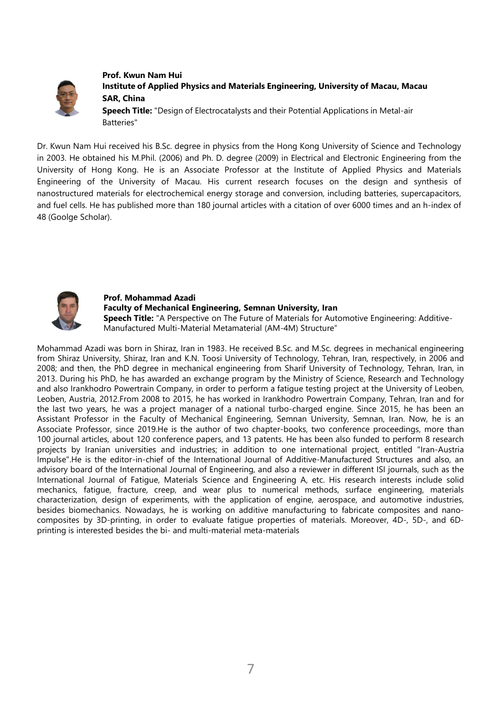

**Prof. Kwun Nam Hui Institute of Applied Physics and Materials Engineering, University of Macau, Macau SAR, China**

**Speech Title:** "Design of Electrocatalysts and their Potential Applications in Metal-air Batteries"

Dr. Kwun Nam Hui received his B.Sc. degree in physics from the Hong Kong University of Science and Technology in 2003. He obtained his M.Phil. (2006) and Ph. D. degree (2009) in Electrical and Electronic Engineering from the University of Hong Kong. He is an Associate Professor at the Institute of Applied Physics and Materials Engineering of the University of Macau. His current research focuses on the design and synthesis of nanostructured materials for electrochemical energy storage and conversion, including batteries, supercapacitors, and fuel cells. He has published more than 180 journal articles with a citation of over 6000 times and an h-index of 48 (Goolge Scholar).



# **Prof. Mohammad Azadi Faculty of Mechanical Engineering, Semnan University, Iran**

**Speech Title:** "A Perspective on The Future of Materials for Automotive Engineering: Additive-Manufactured Multi-Material Metamaterial (AM-4M) Structure"

Mohammad Azadi was born in Shiraz, Iran in 1983. He received B.Sc. and M.Sc. degrees in mechanical engineering from Shiraz University, Shiraz, Iran and K.N. Toosi University of Technology, Tehran, Iran, respectively, in 2006 and 2008; and then, the PhD degree in mechanical engineering from Sharif University of Technology, Tehran, Iran, in 2013. During his PhD, he has awarded an exchange program by the Ministry of Science, Research and Technology and also Irankhodro Powertrain Company, in order to perform a fatigue testing project at the University of Leoben, Leoben, Austria, 2012.From 2008 to 2015, he has worked in Irankhodro Powertrain Company, Tehran, Iran and for the last two years, he was a project manager of a national turbo-charged engine. Since 2015, he has been an Assistant Professor in the Faculty of Mechanical Engineering, Semnan University, Semnan, Iran. Now, he is an Associate Professor, since 2019.He is the author of two chapter-books, two conference proceedings, more than 100 journal articles, about 120 conference papers, and 13 patents. He has been also funded to perform 8 research projects by Iranian universities and industries; in addition to one international project, entitled "Iran-Austria Impulse".He is the editor-in-chief of the International Journal of Additive-Manufactured Structures and also, an advisory board of the International Journal of Engineering, and also a reviewer in different ISI journals, such as the International Journal of Fatigue, Materials Science and Engineering A, etc. His research interests include solid mechanics, fatigue, fracture, creep, and wear plus to numerical methods, surface engineering, materials characterization, design of experiments, with the application of engine, aerospace, and automotive industries, besides biomechanics. Nowadays, he is working on additive manufacturing to fabricate composites and nanocomposites by 3D-printing, in order to evaluate fatigue properties of materials. Moreover, 4D-, 5D-, and 6Dprinting is interested besides the bi- and multi-material meta-materials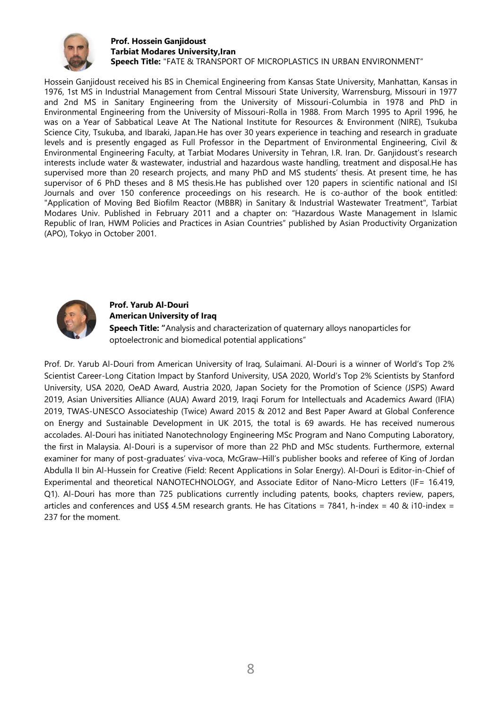

#### **Prof. Hossein Ganjidoust Tarbiat Modares University,Iran Speech Title:** "FATE & TRANSPORT OF MICROPLASTICS IN URBAN ENVIRONMENT"

Hossein Ganjidoust received his BS in Chemical Engineering from Kansas State University, Manhattan, Kansas in 1976, 1st MS in Industrial Management from Central Missouri State University, Warrensburg, Missouri in 1977 and 2nd MS in Sanitary Engineering from the University of Missouri-Columbia in 1978 and PhD in Environmental Engineering from the University of Missouri-Rolla in 1988. From March 1995 to April 1996, he was on a Year of Sabbatical Leave At The National Institute for Resources & Environment (NIRE), Tsukuba Science City, Tsukuba, and Ibaraki, Japan.He has over 30 years experience in teaching and research in graduate levels and is presently engaged as Full Professor in the Department of Environmental Engineering, Civil & Environmental Engineering Faculty, at Tarbiat Modares University in Tehran, I.R. Iran. Dr. Ganjidoust's research interests include water & wastewater, industrial and hazardous waste handling, treatment and disposal.He has supervised more than 20 research projects, and many PhD and MS students' thesis. At present time, he has supervisor of 6 PhD theses and 8 MS thesis. He has published over 120 papers in scientific national and ISI Journals and over 150 conference proceedings on his research. He is co-author of the book entitled: "Application of Moving Bed Biofilm Reactor (MBBR) in Sanitary & Industrial Wastewater Treatment", Tarbiat Modares Univ. Published in February 2011 and a chapter on: "Hazardous Waste Management in Islamic Republic of Iran, HWM Policies and Practices in Asian Countries" published by Asian Productivity Organization (APO), Tokyo in October 2001.



# **Prof. Yarub Al-Douri American University of Iraq Speech Title: "**Analysis and characterization of quaternary alloys nanoparticles for optoelectronic and biomedical potential applications"

Prof. Dr. Yarub Al-Douri from American University of Iraq, Sulaimani. Al-Douri is a winner of World's Top 2% Scientist Career-Long Citation Impact by Stanford University, USA 2020, World's Top 2% Scientists by Stanford University, USA 2020, OeAD Award, Austria 2020, Japan Society for the Promotion of Science (JSPS) Award 2019, Asian Universities Alliance (AUA) Award 2019, Iraqi Forum for Intellectuals and Academics Award (IFIA) 2019, TWAS-UNESCO Associateship (Twice) Award 2015 & 2012 and Best Paper Award at Global Conference on Energy and Sustainable Development in UK 2015, the total is 69 awards. He has received numerous accolades. Al-Douri has initiated Nanotechnology Engineering MSc Program and Nano Computing Laboratory, the first in Malaysia. Al-Douri is a supervisor of more than 22 PhD and MSc students. Furthermore, external examiner for many of post-graduates' viva-voca, McGraw–Hill's publisher books and referee of King of Jordan Abdulla II bin Al-Hussein for Creative (Field: Recent Applications in Solar Energy). Al-Douri is Editor-in-Chief of Experimental and theoretical NANOTECHNOLOGY, and Associate Editor of Nano-Micro Letters (IF= 16.419, Q1). Al-Douri has more than 725 publications currently including patents, books, chapters review, papers, articles and conferences and US\$ 4.5M research grants. He has Citations = 7841, h-index = 40 & i10-index = 237 for the moment.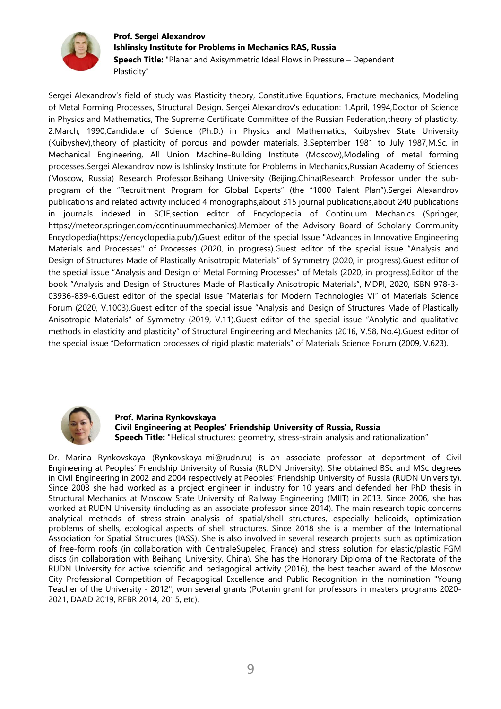

## **Prof. Sergei Alexandrov Ishlinsky Institute for Problems in Mechanics RAS, Russia Speech Title:** "Planar and Axisymmetric Ideal Flows in Pressure – Dependent Plasticity"

Sergei Alexandrov's field of study was Plasticity theory, Constitutive Equations, Fracture mechanics, Modeling of Metal Forming Processes, Structural Design. Sergei Alexandrov's education: 1.April, 1994,Doctor of Science in Physics and Mathematics, The Supreme Certificate Committee of the Russian Federation,theory of plasticity. 2.March, 1990,Candidate of Science (Ph.D.) in Physics and Mathematics, Kuibyshev State University (Kuibyshev),theory of plasticity of porous and powder materials. 3.September 1981 to July 1987,M.Sc. in Mechanical Engineering, All Union Machine-Building Institute (Moscow),Modeling of metal forming processes.Sergei Alexandrov now is Ishlinsky Institute for Problems in Mechanics,Russian Academy of Sciences (Moscow, Russia) Research Professor.Beihang University (Beijing,China)Research Professor under the subprogram of the "Recruitment Program for Global Experts" (the "1000 Talent Plan").Sergei Alexandrov publications and related activity included 4 monographs,about 315 journal publications,about 240 publications in journals indexed in SCIE,section editor of Encyclopedia of Continuum Mechanics (Springer, https://meteor.springer.com/continuummechanics).Member of the Advisory Board of Scholarly Community Encyclopedia(https://encyclopedia.pub/).Guest editor of the special Issue "Advances in Innovative Engineering Materials and Processes" of Processes (2020, in progress).Guest editor of the special issue "Analysis and Design of Structures Made of Plastically Anisotropic Materials" of Symmetry (2020, in progress).Guest editor of the special issue "Analysis and Design of Metal Forming Processes" of Metals (2020, in progress).Editor of the book "Analysis and Design of Structures Made of Plastically Anisotropic Materials", MDPI, 2020, ISBN 978-3- 03936-839-6.Guest editor of the special issue "Materials for Modern Technologies VI" of Materials Science Forum (2020, V.1003).Guest editor of the special issue "Analysis and Design of Structures Made of Plastically Anisotropic Materials" of Symmetry (2019, V.11).Guest editor of the special issue "Analytic and qualitative methods in elasticity and plasticity" of Structural Engineering and Mechanics (2016, V.58, No.4).Guest editor of the special issue "Deformation processes of rigid plastic materials" of Materials Science Forum (2009, V.623).



**Prof. Marina Rynkovskaya Civil Engineering at Peoples' Friendship University of Russia, Russia Speech Title:** "Helical structures: geometry, stress-strain analysis and rationalization"

Dr. Marina Rynkovskaya (Rynkovskaya-mi@rudn.ru) is an associate professor at department of Civil Engineering at Peoples' Friendship University of Russia (RUDN University). She obtained BSc and MSc degrees in Civil Engineering in 2002 and 2004 respectively at Peoples' Friendship University of Russia (RUDN University). Since 2003 she had worked as a project engineer in industry for 10 years and defended her PhD thesis in Structural Mechanics at Moscow State University of Railway Engineering (MIIT) in 2013. Since 2006, she has worked at RUDN University (including as an associate professor since 2014). The main research topic concerns analytical methods of stress-strain analysis of spatial/shell structures, especially helicoids, optimization problems of shells, ecological aspects of shell structures. Since 2018 she is a member of the International Association for Spatial Structures (IASS). She is also involved in several research projects such as optimization of free-form roofs (in collaboration with CentraleSupelec, France) and stress solution for elastic/plastic FGM discs (in collaboration with Beihang University, China). She has the Honorary Diploma of the Rectorate of the RUDN University for active scientific and pedagogical activity (2016), the best teacher award of the Moscow City Professional Competition of Pedagogical Excellence and Public Recognition in the nomination "Young Teacher of the University - 2012", won several grants (Potanin grant for professors in masters programs 2020- 2021, DAAD 2019, RFBR 2014, 2015, etc).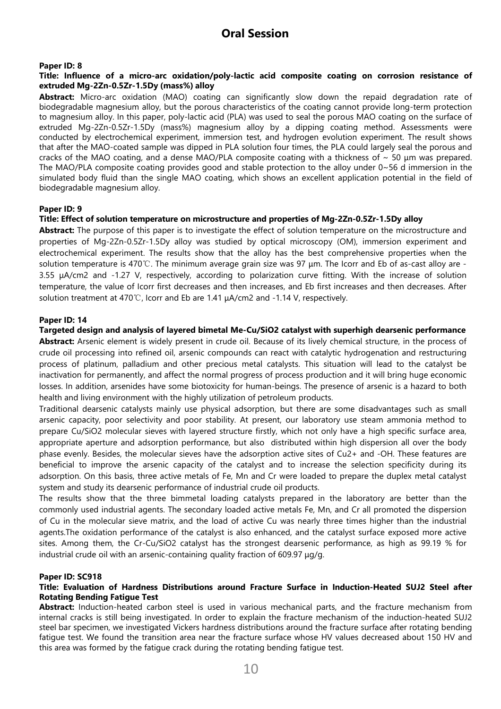#### **Paper ID: 8**

#### **Title: Influence of a micro-arc oxidation/poly-lactic acid composite coating on corrosion resistance of extruded Mg-2Zn-0.5Zr-1.5Dy (mass%) alloy**

**Abstract:** Micro-arc oxidation (MAO) coating can significantly slow down the repaid degradation rate of biodegradable magnesium alloy, but the porous characteristics of the coating cannot provide long-term protection to magnesium alloy. In this paper, poly-lactic acid (PLA) was used to seal the porous MAO coating on the surface of extruded Mg-2Zn-0.5Zr-1.5Dy (mass%) magnesium alloy by a dipping coating method. Assessments were conducted by electrochemical experiment, immersion test, and hydrogen evolution experiment. The result shows that after the MAO-coated sample was dipped in PLA solution four times, the PLA could largely seal the porous and cracks of the MAO coating, and a dense MAO/PLA composite coating with a thickness of  $\sim$  50  $\mu$ m was prepared. The MAO/PLA composite coating provides good and stable protection to the alloy under  $0~56$  d immersion in the simulated body fluid than the single MAO coating, which shows an excellent application potential in the field of biodegradable magnesium alloy.

#### **Paper ID: 9**

#### **Title: Effect of solution temperature on microstructure and properties of Mg-2Zn-0.5Zr-1.5Dy alloy**

**Abstract:** The purpose of this paper is to investigate the effect of solution temperature on the microstructure and properties of Mg-2Zn-0.5Zr-1.5Dy alloy was studied by optical microscopy (OM), immersion experiment and electrochemical experiment. The results show that the alloy has the best comprehensive properties when the solution temperature is 470℃. The minimum average grain size was 97 μm. The Icorr and Eb of as-cast alloy are - 3.55 μA/cm2 and -1.27 V, respectively, according to polarization curve fitting. With the increase of solution temperature, the value of Icorr first decreases and then increases, and Eb first increases and then decreases. After solution treatment at 470℃, Icorr and Eb are 1.41 μA/cm2 and -1.14 V, respectively.

#### **Paper ID: 14**

**Targeted design and analysis of layered bimetal Me-Cu/SiO2 catalyst with superhigh dearsenic performance**

**Abstract:** Arsenic element is widely present in crude oil. Because of its lively chemical structure, in the process of crude oil processing into refined oil, arsenic compounds can react with catalytic hydrogenation and restructuring process of platinum, palladium and other precious metal catalysts. This situation will lead to the catalyst be inactivation for permanently, and affect the normal progress of process production and it will bring huge economic losses. In addition, arsenides have some biotoxicity for human-beings. The presence of arsenic is a hazard to both health and living environment with the highly utilization of petroleum products.

Traditional dearsenic catalysts mainly use physical adsorption, but there are some disadvantages such as small arsenic capacity, poor selectivity and poor stability. At present, our laboratory use steam ammonia method to prepare Cu/SiO2 molecular sieves with layered structure firstly, which not only have a high specific surface area, appropriate aperture and adsorption performance, but also distributed within high dispersion all over the body phase evenly. Besides, the molecular sieves have the adsorption active sites of Cu2+ and -OH. These features are beneficial to improve the arsenic capacity of the catalyst and to increase the selection specificity during its adsorption. On this basis, three active metals of Fe, Mn and Cr were loaded to prepare the duplex metal catalyst system and study its dearsenic performance of industrial crude oil products.

The results show that the three bimmetal loading catalysts prepared in the laboratory are better than the commonly used industrial agents. The secondary loaded active metals Fe, Mn, and Cr all promoted the dispersion of Cu in the molecular sieve matrix, and the load of active Cu was nearly three times higher than the industrial agents.The oxidation performance of the catalyst is also enhanced, and the catalyst surface exposed more active sites. Among them, the Cr-Cu/SiO2 catalyst has the strongest dearsenic performance, as high as 99.19 % for industrial crude oil with an arsenic-containing quality fraction of 609.97 μg/g.

#### **Paper ID: SC918**

#### **Title: Evaluation of Hardness Distributions around Fracture Surface in Induction-Heated SUJ2 Steel after Rotating Bending Fatigue Test**

**Abstract:** Induction-heated carbon steel is used in various mechanical parts, and the fracture mechanism from internal cracks is still being investigated. In order to explain the fracture mechanism of the induction-heated SUJ2 steel bar specimen, we investigated Vickers hardness distributions around the fracture surface after rotating bending fatigue test. We found the transition area near the fracture surface whose HV values decreased about 150 HV and this area was formed by the fatigue crack during the rotating bending fatigue test.